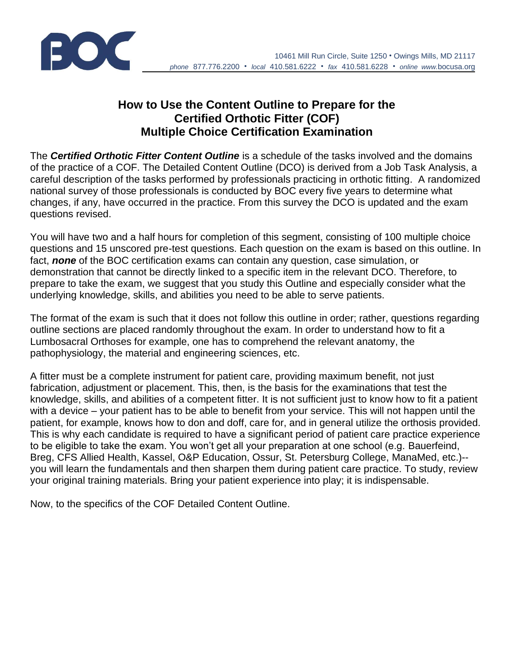

## **How to Use the Content Outline to Prepare for the Certified Orthotic Fitter (COF) Multiple Choice Certification Examination**

The *Certified Orthotic Fitter Content Outline* is a schedule of the tasks involved and the domains of the practice of a COF. The Detailed Content Outline (DCO) is derived from a Job Task Analysis, a careful description of the tasks performed by professionals practicing in orthotic fitting. A randomized national survey of those professionals is conducted by BOC every five years to determine what changes, if any, have occurred in the practice. From this survey the DCO is updated and the exam questions revised.

You will have two and a half hours for completion of this segment, consisting of 100 multiple choice questions and 15 unscored pre-test questions. Each question on the exam is based on this outline. In fact, *none* of the BOC certification exams can contain any question, case simulation, or demonstration that cannot be directly linked to a specific item in the relevant DCO. Therefore, to prepare to take the exam, we suggest that you study this Outline and especially consider what the underlying knowledge, skills, and abilities you need to be able to serve patients.

The format of the exam is such that it does not follow this outline in order; rather, questions regarding outline sections are placed randomly throughout the exam. In order to understand how to fit a Lumbosacral Orthoses for example, one has to comprehend the relevant anatomy, the pathophysiology, the material and engineering sciences, etc.

A fitter must be a complete instrument for patient care, providing maximum benefit, not just fabrication, adjustment or placement. This, then, is the basis for the examinations that test the knowledge, skills, and abilities of a competent fitter. It is not sufficient just to know how to fit a patient with a device – your patient has to be able to benefit from your service. This will not happen until the patient, for example, knows how to don and doff, care for, and in general utilize the orthosis provided. This is why each candidate is required to have a significant period of patient care practice experience to be eligible to take the exam. You won't get all your preparation at one school (e.g. Bauerfeind, Breg, CFS Allied Health, Kassel, O&P Education, Ossur, St. Petersburg College, ManaMed, etc.)- you will learn the fundamentals and then sharpen them during patient care practice. To study, review your original training materials. Bring your patient experience into play; it is indispensable.

Now, to the specifics of the COF Detailed Content Outline.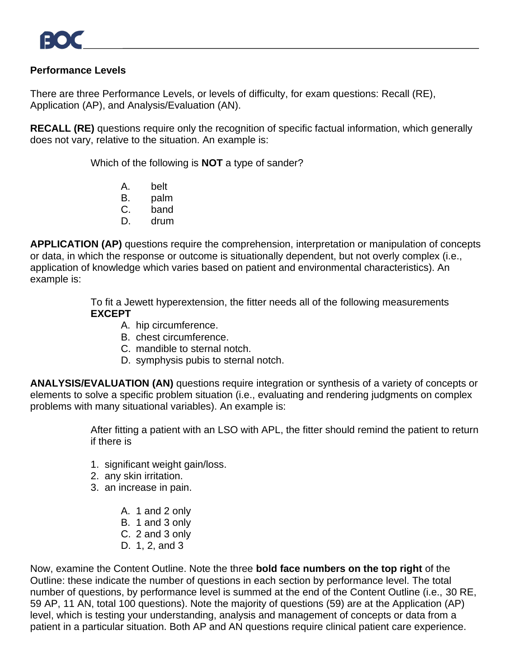## **Performance Levels**

There are three Performance Levels, or levels of difficulty, for exam questions: Recall (RE), Application (AP), and Analysis/Evaluation (AN).

**RECALL (RE)** questions require only the recognition of specific factual information, which generally does not vary, relative to the situation. An example is:

Which of the following is **NOT** a type of sander?

- A. belt
- B. palm
- C. band
- D. drum

**APPLICATION (AP)** questions require the comprehension, interpretation or manipulation of concepts or data, in which the response or outcome is situationally dependent, but not overly complex (i.e., application of knowledge which varies based on patient and environmental characteristics). An example is:

> To fit a Jewett hyperextension, the fitter needs all of the following measurements **EXCEPT**

- A. hip circumference.
- B. chest circumference.
- C. mandible to sternal notch.
- D. symphysis pubis to sternal notch.

**ANALYSIS/EVALUATION (AN)** questions require integration or synthesis of a variety of concepts or elements to solve a specific problem situation (i.e., evaluating and rendering judgments on complex problems with many situational variables). An example is:

> After fitting a patient with an LSO with APL, the fitter should remind the patient to return if there is

- 1. significant weight gain/loss.
- 2. any skin irritation.
- 3. an increase in pain.
	- A. 1 and 2 only
	- B. 1 and 3 only
	- C. 2 and 3 only
	- D. 1, 2, and 3

Now, examine the Content Outline. Note the three **bold face numbers on the top right** of the Outline: these indicate the number of questions in each section by performance level. The total number of questions, by performance level is summed at the end of the Content Outline (i.e., 30 RE, 59 AP, 11 AN, total 100 questions). Note the majority of questions (59) are at the Application (AP) level, which is testing your understanding, analysis and management of concepts or data from a patient in a particular situation. Both AP and AN questions require clinical patient care experience.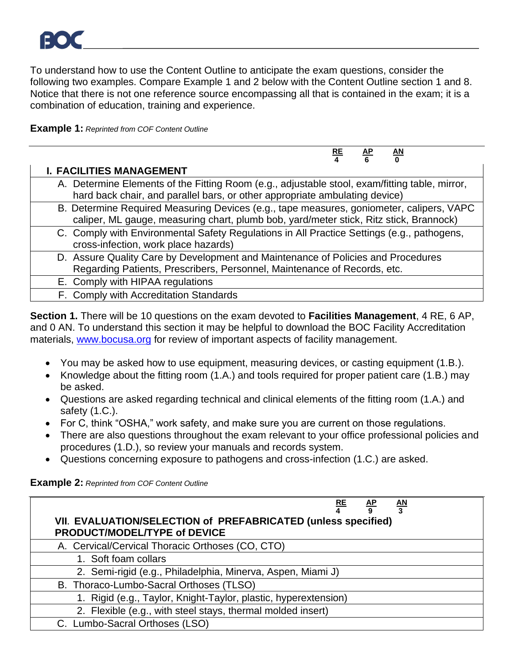To understand how to use the Content Outline to anticipate the exam questions, consider the following two examples. Compare Example 1 and 2 below with the Content Outline section 1 and 8. Notice that there is not one reference source encompassing all that is contained in the exam; it is a combination of education, training and experience.

**Example 1:** *Reprinted from COF Content Outline*

|                                                                                                                                                                                    | $rac{RE}{4}$ | $\frac{\text{AP}}{6}$ | $\underline{\mathsf{AN}}$ |  |
|------------------------------------------------------------------------------------------------------------------------------------------------------------------------------------|--------------|-----------------------|---------------------------|--|
| <b>I. FACILITIES MANAGEMENT</b>                                                                                                                                                    |              |                       |                           |  |
| A. Determine Elements of the Fitting Room (e.g., adjustable stool, exam/fitting table, mirror,<br>hard back chair, and parallel bars, or other appropriate ambulating device)      |              |                       |                           |  |
| B. Determine Required Measuring Devices (e.g., tape measures, goniometer, calipers, VAPC<br>caliper, ML gauge, measuring chart, plumb bob, yard/meter stick, Ritz stick, Brannock) |              |                       |                           |  |
| C. Comply with Environmental Safety Regulations in All Practice Settings (e.g., pathogens,<br>cross-infection, work place hazards)                                                 |              |                       |                           |  |
| D. Assure Quality Care by Development and Maintenance of Policies and Procedures<br>Regarding Patients, Prescribers, Personnel, Maintenance of Records, etc.                       |              |                       |                           |  |
| E. Comply with HIPAA regulations                                                                                                                                                   |              |                       |                           |  |
| F. Comply with Accreditation Standards                                                                                                                                             |              |                       |                           |  |

**Section 1.** There will be 10 questions on the exam devoted to **Facilities Management**, 4 RE, 6 AP, and 0 AN. To understand this section it may be helpful to download the BOC Facility Accreditation materials, [www.bocusa.org](http://www.bocusa.org/) for review of important aspects of facility management.

- You may be asked how to use equipment, measuring devices, or casting equipment (1.B.).
- Knowledge about the fitting room (1.A.) and tools required for proper patient care (1.B.) may be asked.
- Questions are asked regarding technical and clinical elements of the fitting room (1.A.) and safety (1.C.).
- For C, think "OSHA," work safety, and make sure you are current on those regulations.
- There are also questions throughout the exam relevant to your office professional policies and procedures (1.D.), so review your manuals and records system.
- Questions concerning exposure to pathogens and cross-infection (1.C.) are asked.

**Example 2:** *Reprinted from COF Content Outline*

| $\frac{\mathsf{AN}}{3}$<br><u>RE</u><br>$rac{AP}{9}$<br>VII. EVALUATION/SELECTION of PREFABRICATED (unless specified)<br>PRODUCT/MODEL/TYPE of DEVICE |
|-------------------------------------------------------------------------------------------------------------------------------------------------------|
| A. Cervical/Cervical Thoracic Orthoses (CO, CTO)                                                                                                      |
| 1. Soft foam collars                                                                                                                                  |
| 2. Semi-rigid (e.g., Philadelphia, Minerva, Aspen, Miami J)                                                                                           |
| B. Thoraco-Lumbo-Sacral Orthoses (TLSO)                                                                                                               |
| 1. Rigid (e.g., Taylor, Knight-Taylor, plastic, hyperextension)                                                                                       |
| 2. Flexible (e.g., with steel stays, thermal molded insert)                                                                                           |
| C. Lumbo-Sacral Orthoses (LSO)                                                                                                                        |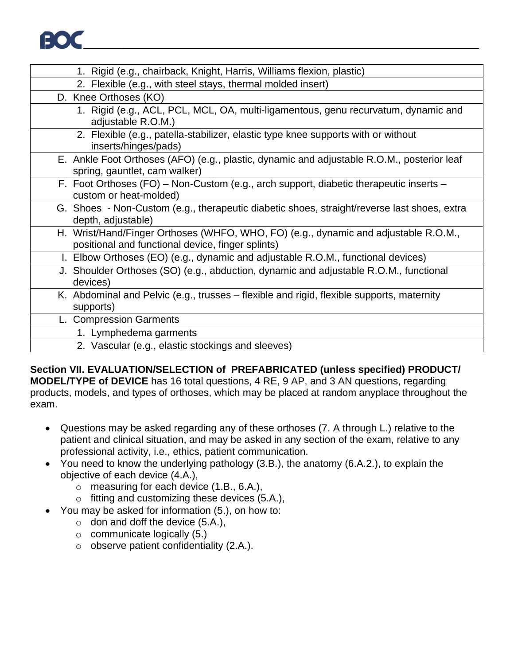

| 1. Rigid (e.g., chairback, Knight, Harris, Williams flexion, plastic)                                                                    |
|------------------------------------------------------------------------------------------------------------------------------------------|
| 2. Flexible (e.g., with steel stays, thermal molded insert)                                                                              |
| D. Knee Orthoses (KO)                                                                                                                    |
| 1. Rigid (e.g., ACL, PCL, MCL, OA, multi-ligamentous, genu recurvatum, dynamic and<br>adjustable R.O.M.)                                 |
| 2. Flexible (e.g., patella-stabilizer, elastic type knee supports with or without<br>inserts/hinges/pads)                                |
| E. Ankle Foot Orthoses (AFO) (e.g., plastic, dynamic and adjustable R.O.M., posterior leaf<br>spring, gauntlet, cam walker)              |
| F. Foot Orthoses (FO) - Non-Custom (e.g., arch support, diabetic therapeutic inserts -<br>custom or heat-molded)                         |
| G. Shoes - Non-Custom (e.g., therapeutic diabetic shoes, straight/reverse last shoes, extra<br>depth, adjustable)                        |
| H. Wrist/Hand/Finger Orthoses (WHFO, WHO, FO) (e.g., dynamic and adjustable R.O.M.,<br>positional and functional device, finger splints) |
| I. Elbow Orthoses (EO) (e.g., dynamic and adjustable R.O.M., functional devices)                                                         |
| J. Shoulder Orthoses (SO) (e.g., abduction, dynamic and adjustable R.O.M., functional<br>devices)                                        |
| K. Abdominal and Pelvic (e.g., trusses – flexible and rigid, flexible supports, maternity<br>supports)                                   |
| L. Compression Garments                                                                                                                  |
| 1. Lymphedema garments                                                                                                                   |
| 2. Vascular (e.g., elastic stockings and sleeves)                                                                                        |

**Section VII. EVALUATION/SELECTION of PREFABRICATED (unless specified) PRODUCT/ MODEL/TYPE of DEVICE** has 16 total questions, 4 RE, 9 AP, and 3 AN questions, regarding products, models, and types of orthoses, which may be placed at random anyplace throughout the exam.

- Questions may be asked regarding any of these orthoses (7. A through L.) relative to the patient and clinical situation, and may be asked in any section of the exam, relative to any professional activity, i.e., ethics, patient communication.
- You need to know the underlying pathology (3.B.), the anatomy (6.A.2.), to explain the objective of each device (4.A.),
	- o measuring for each device (1.B., 6.A.),
	- o fitting and customizing these devices (5.A.),
- You may be asked for information (5.), on how to:
	- $\circ$  don and doff the device (5.A.),
		- $\circ$  communicate logically (5.)
		- o observe patient confidentiality (2.A.).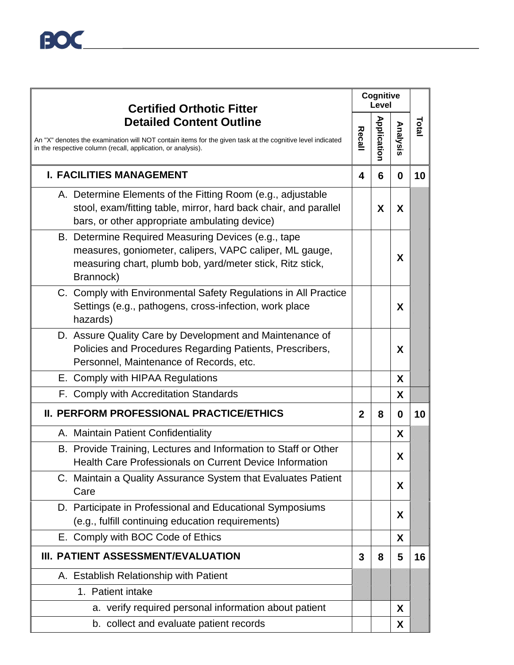| <b>Certified Orthotic Fitter</b>                                                                                                                                                                             |              | Cognitive<br>Level |          |       |
|--------------------------------------------------------------------------------------------------------------------------------------------------------------------------------------------------------------|--------------|--------------------|----------|-------|
| <b>Detailed Content Outline</b><br>An "X" denotes the examination will NOT contain items for the given task at the cognitive level indicated<br>in the respective column (recall, application, or analysis). | Recall       | <b>Application</b> | Analysis | Total |
| <b>I. FACILITIES MANAGEMENT</b>                                                                                                                                                                              | 4            | 6                  | $\bf{0}$ | 10    |
| A. Determine Elements of the Fitting Room (e.g., adjustable<br>stool, exam/fitting table, mirror, hard back chair, and parallel<br>bars, or other appropriate ambulating device)                             |              | X                  | X        |       |
| B. Determine Required Measuring Devices (e.g., tape<br>measures, goniometer, calipers, VAPC caliper, ML gauge,<br>measuring chart, plumb bob, yard/meter stick, Ritz stick,<br>Brannock)                     |              |                    | X        |       |
| C. Comply with Environmental Safety Regulations in All Practice<br>Settings (e.g., pathogens, cross-infection, work place<br>hazards)                                                                        |              |                    | X        |       |
| D. Assure Quality Care by Development and Maintenance of<br>Policies and Procedures Regarding Patients, Prescribers,<br>Personnel, Maintenance of Records, etc.                                              |              |                    | X        |       |
| E. Comply with HIPAA Regulations                                                                                                                                                                             |              |                    | X        |       |
| F. Comply with Accreditation Standards                                                                                                                                                                       |              |                    | X        |       |
| II. PERFORM PROFESSIONAL PRACTICE/ETHICS                                                                                                                                                                     | $\mathbf{2}$ | 8                  | $\bf{0}$ | 10    |
| A. Maintain Patient Confidentiality                                                                                                                                                                          |              |                    | X.       |       |
| B. Provide Training, Lectures and Information to Staff or Other<br><b>Health Care Professionals on Current Device Information</b>                                                                            |              |                    | X        |       |
| C. Maintain a Quality Assurance System that Evaluates Patient<br>Care                                                                                                                                        |              |                    | X        |       |
| D. Participate in Professional and Educational Symposiums<br>(e.g., fulfill continuing education requirements)                                                                                               |              |                    | X        |       |
| E. Comply with BOC Code of Ethics                                                                                                                                                                            |              |                    | X        |       |
| III. PATIENT ASSESSMENT/EVALUATION                                                                                                                                                                           | 3            | 8                  | 5        | 16    |
| A. Establish Relationship with Patient                                                                                                                                                                       |              |                    |          |       |
| 1. Patient intake                                                                                                                                                                                            |              |                    |          |       |
| a. verify required personal information about patient                                                                                                                                                        |              |                    | X        |       |
| b. collect and evaluate patient records                                                                                                                                                                      |              |                    | X        |       |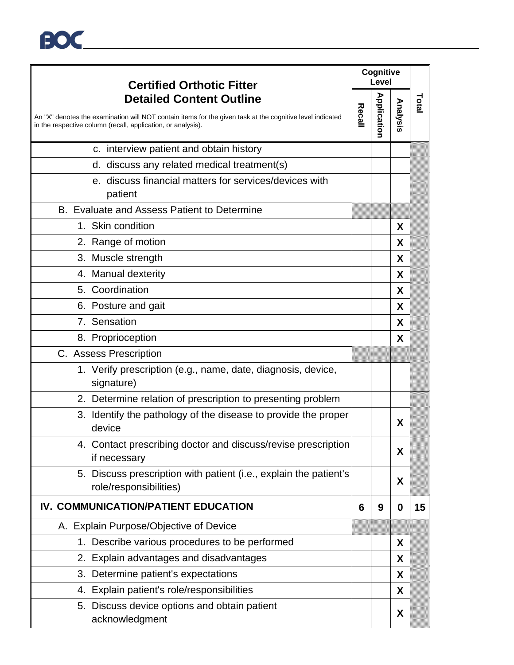| <b>Certified Orthotic Fitter</b> |                                                                                                                                                                           | Cognitive<br>Level |             |          |       |
|----------------------------------|---------------------------------------------------------------------------------------------------------------------------------------------------------------------------|--------------------|-------------|----------|-------|
|                                  | <b>Detailed Content Outline</b>                                                                                                                                           |                    |             |          | Total |
|                                  | An "X" denotes the examination will NOT contain items for the given task at the cognitive level indicated<br>in the respective column (recall, application, or analysis). | Recall             | Application | Analysis |       |
|                                  | c. interview patient and obtain history                                                                                                                                   |                    |             |          |       |
|                                  | d. discuss any related medical treatment(s)                                                                                                                               |                    |             |          |       |
|                                  | e. discuss financial matters for services/devices with<br>patient                                                                                                         |                    |             |          |       |
|                                  | B. Evaluate and Assess Patient to Determine                                                                                                                               |                    |             |          |       |
|                                  | 1. Skin condition                                                                                                                                                         |                    |             | X        |       |
|                                  | 2. Range of motion                                                                                                                                                        |                    |             | X        |       |
|                                  | 3. Muscle strength                                                                                                                                                        |                    |             | X        |       |
|                                  | 4. Manual dexterity                                                                                                                                                       |                    |             | X        |       |
|                                  | 5. Coordination                                                                                                                                                           |                    |             | X        |       |
|                                  | 6. Posture and gait                                                                                                                                                       |                    |             | X        |       |
|                                  | 7. Sensation                                                                                                                                                              |                    |             | X        |       |
|                                  | 8. Proprioception                                                                                                                                                         |                    |             | X        |       |
|                                  | C. Assess Prescription                                                                                                                                                    |                    |             |          |       |
|                                  | 1. Verify prescription (e.g., name, date, diagnosis, device,<br>signature)                                                                                                |                    |             |          |       |
|                                  | 2. Determine relation of prescription to presenting problem                                                                                                               |                    |             |          |       |
|                                  | 3. Identify the pathology of the disease to provide the proper<br>device                                                                                                  |                    |             | X        |       |
|                                  | 4. Contact prescribing doctor and discuss/revise prescription<br>if necessary                                                                                             |                    |             | X        |       |
|                                  | 5. Discuss prescription with patient (i.e., explain the patient's<br>role/responsibilities)                                                                               |                    |             | X        |       |
|                                  | IV. COMMUNICATION/PATIENT EDUCATION                                                                                                                                       | 6                  | 9           | 0        | 15    |
|                                  | A. Explain Purpose/Objective of Device                                                                                                                                    |                    |             |          |       |
|                                  | 1. Describe various procedures to be performed                                                                                                                            |                    |             | X        |       |
|                                  | 2. Explain advantages and disadvantages                                                                                                                                   |                    |             | X        |       |
|                                  | 3. Determine patient's expectations                                                                                                                                       |                    |             | X        |       |
|                                  | 4. Explain patient's role/responsibilities                                                                                                                                |                    |             | X        |       |
|                                  | 5. Discuss device options and obtain patient<br>acknowledgment                                                                                                            |                    |             | X        |       |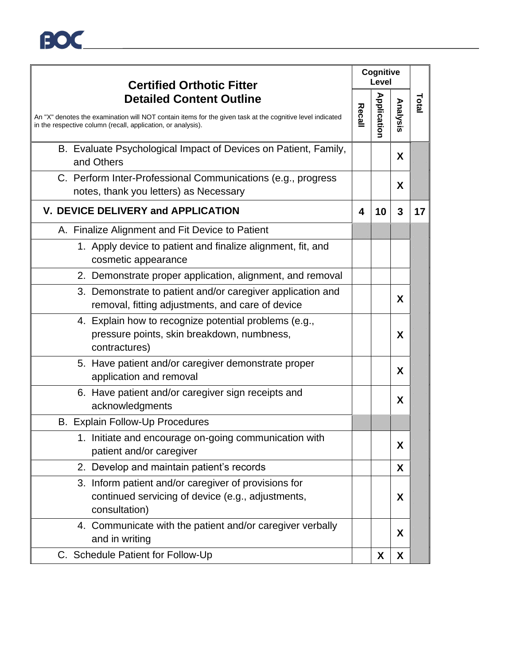

| <b>Certified Orthotic Fitter</b>                                                                                                                                                                             |        | Cognitive<br>Level |          |       |
|--------------------------------------------------------------------------------------------------------------------------------------------------------------------------------------------------------------|--------|--------------------|----------|-------|
| <b>Detailed Content Outline</b><br>An "X" denotes the examination will NOT contain items for the given task at the cognitive level indicated<br>in the respective column (recall, application, or analysis). | Recall | <b>Application</b> | Analysis | Total |
| B. Evaluate Psychological Impact of Devices on Patient, Family,<br>and Others                                                                                                                                |        |                    | X        |       |
| C. Perform Inter-Professional Communications (e.g., progress<br>notes, thank you letters) as Necessary                                                                                                       |        |                    | X        |       |
| V. DEVICE DELIVERY and APPLICATION                                                                                                                                                                           | 4      | 10                 | 3        | 17    |
| A. Finalize Alignment and Fit Device to Patient                                                                                                                                                              |        |                    |          |       |
| 1. Apply device to patient and finalize alignment, fit, and<br>cosmetic appearance                                                                                                                           |        |                    |          |       |
| 2. Demonstrate proper application, alignment, and removal                                                                                                                                                    |        |                    |          |       |
| 3. Demonstrate to patient and/or caregiver application and<br>removal, fitting adjustments, and care of device                                                                                               |        |                    | X        |       |
| 4. Explain how to recognize potential problems (e.g.,<br>pressure points, skin breakdown, numbness,<br>contractures)                                                                                         |        |                    | X        |       |
| 5. Have patient and/or caregiver demonstrate proper<br>application and removal                                                                                                                               |        |                    | X        |       |
| 6. Have patient and/or caregiver sign receipts and<br>acknowledgments                                                                                                                                        |        |                    | X        |       |
| B. Explain Follow-Up Procedures                                                                                                                                                                              |        |                    |          |       |
| 1. Initiate and encourage on-going communication with<br>patient and/or caregiver                                                                                                                            |        |                    | X        |       |
| 2. Develop and maintain patient's records                                                                                                                                                                    |        |                    | X        |       |
| 3. Inform patient and/or caregiver of provisions for<br>continued servicing of device (e.g., adjustments,<br>consultation)                                                                                   |        |                    | X        |       |
| 4. Communicate with the patient and/or caregiver verbally<br>and in writing                                                                                                                                  |        |                    | X        |       |
| C. Schedule Patient for Follow-Up                                                                                                                                                                            |        | X                  | X        |       |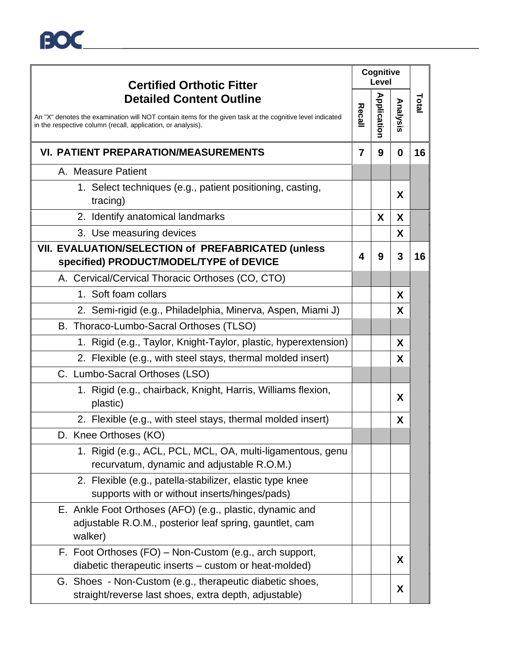| <b>Certified Orthotic Fitter</b>                                                                                                                                                                             |        | Cognitive<br>Level |          |       |
|--------------------------------------------------------------------------------------------------------------------------------------------------------------------------------------------------------------|--------|--------------------|----------|-------|
| <b>Detailed Content Outline</b><br>An "X" denotes the examination will NOT contain items for the given task at the cognitive level indicated<br>in the respective column (recall, application, or analysis). | Recall | <b>Application</b> | Analysis | Total |
| <b>VI. PATIENT PREPARATION/MEASUREMENTS</b>                                                                                                                                                                  | 7      | 9                  | 0        | 16    |
| A. Measure Patient                                                                                                                                                                                           |        |                    |          |       |
| 1. Select techniques (e.g., patient positioning, casting,<br>tracing)                                                                                                                                        |        |                    | X        |       |
| 2. Identify anatomical landmarks                                                                                                                                                                             |        | X                  | X        |       |
| 3. Use measuring devices                                                                                                                                                                                     |        |                    | X        |       |
| VII. EVALUATION/SELECTION of PREFABRICATED (unless<br>specified) PRODUCT/MODEL/TYPE of DEVICE                                                                                                                | 4      | 9                  | 3        | 16    |
| A. Cervical/Cervical Thoracic Orthoses (CO, CTO)                                                                                                                                                             |        |                    |          |       |
| 1. Soft foam collars                                                                                                                                                                                         |        |                    | X        |       |
| 2. Semi-rigid (e.g., Philadelphia, Minerva, Aspen, Miami J)                                                                                                                                                  |        |                    | X        |       |
| B. Thoraco-Lumbo-Sacral Orthoses (TLSO)                                                                                                                                                                      |        |                    |          |       |
| 1. Rigid (e.g., Taylor, Knight-Taylor, plastic, hyperextension)                                                                                                                                              |        |                    | X        |       |
| 2. Flexible (e.g., with steel stays, thermal molded insert)                                                                                                                                                  |        |                    | X        |       |
| C. Lumbo-Sacral Orthoses (LSO)                                                                                                                                                                               |        |                    |          |       |
| 1. Rigid (e.g., chairback, Knight, Harris, Williams flexion,<br>plastic)                                                                                                                                     |        |                    | X        |       |
| 2. Flexible (e.g., with steel stays, thermal molded insert)                                                                                                                                                  |        |                    | X        |       |
| D. Knee Orthoses (KO)                                                                                                                                                                                        |        |                    |          |       |
| 1. Rigid (e.g., ACL, PCL, MCL, OA, multi-ligamentous, genu<br>recurvatum, dynamic and adjustable R.O.M.)                                                                                                     |        |                    |          |       |
| 2. Flexible (e.g., patella-stabilizer, elastic type knee<br>supports with or without inserts/hinges/pads)                                                                                                    |        |                    |          |       |
| E. Ankle Foot Orthoses (AFO) (e.g., plastic, dynamic and<br>adjustable R.O.M., posterior leaf spring, gauntlet, cam<br>walker)                                                                               |        |                    |          |       |
| F. Foot Orthoses (FO) – Non-Custom (e.g., arch support,<br>diabetic therapeutic inserts – custom or heat-molded)                                                                                             |        |                    | X        |       |
| G. Shoes - Non-Custom (e.g., therapeutic diabetic shoes,<br>straight/reverse last shoes, extra depth, adjustable)                                                                                            |        |                    | X        |       |